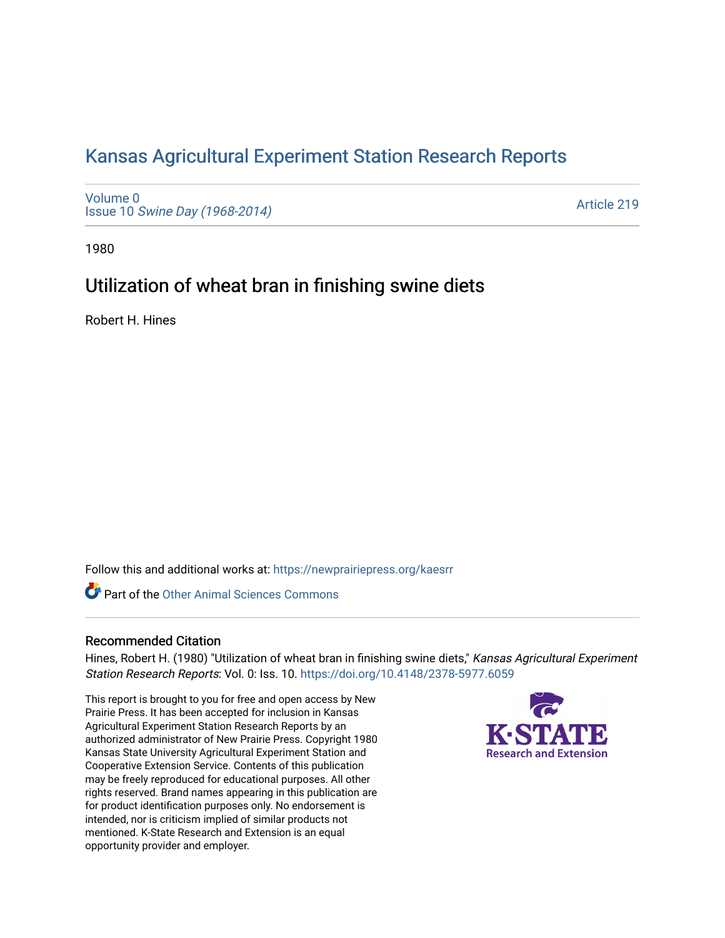# [Kansas Agricultural Experiment Station Research Reports](https://newprairiepress.org/kaesrr)

[Volume 0](https://newprairiepress.org/kaesrr/vol0) Issue 10 [Swine Day \(1968-2014\)](https://newprairiepress.org/kaesrr/vol0/iss10)

[Article 219](https://newprairiepress.org/kaesrr/vol0/iss10/219) 

1980

## Utilization of wheat bran in finishing swine diets

Robert H. Hines

Follow this and additional works at: [https://newprairiepress.org/kaesrr](https://newprairiepress.org/kaesrr?utm_source=newprairiepress.org%2Fkaesrr%2Fvol0%2Fiss10%2F219&utm_medium=PDF&utm_campaign=PDFCoverPages) 

**C** Part of the [Other Animal Sciences Commons](http://network.bepress.com/hgg/discipline/82?utm_source=newprairiepress.org%2Fkaesrr%2Fvol0%2Fiss10%2F219&utm_medium=PDF&utm_campaign=PDFCoverPages)

## Recommended Citation

Hines, Robert H. (1980) "Utilization of wheat bran in finishing swine diets," Kansas Agricultural Experiment Station Research Reports: Vol. 0: Iss. 10. <https://doi.org/10.4148/2378-5977.6059>

This report is brought to you for free and open access by New Prairie Press. It has been accepted for inclusion in Kansas Agricultural Experiment Station Research Reports by an authorized administrator of New Prairie Press. Copyright 1980 Kansas State University Agricultural Experiment Station and Cooperative Extension Service. Contents of this publication may be freely reproduced for educational purposes. All other rights reserved. Brand names appearing in this publication are for product identification purposes only. No endorsement is intended, nor is criticism implied of similar products not mentioned. K-State Research and Extension is an equal opportunity provider and employer.

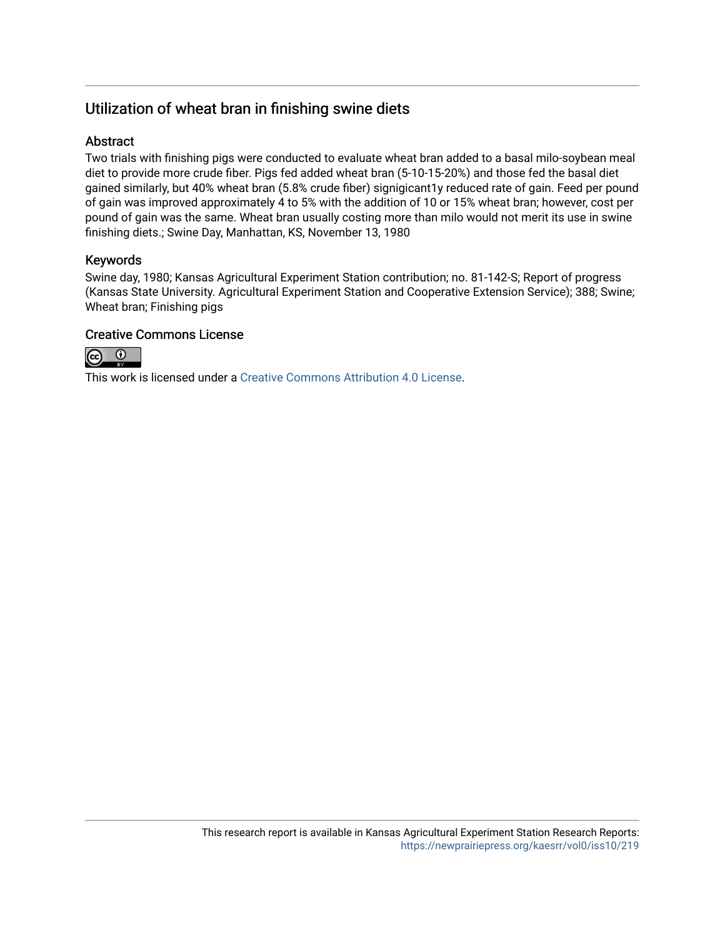## Utilization of wheat bran in finishing swine diets

## **Abstract**

Two trials with finishing pigs were conducted to evaluate wheat bran added to a basal milo-soybean meal diet to provide more crude fiber. Pigs fed added wheat bran (5-10-15-20%) and those fed the basal diet gained similarly, but 40% wheat bran (5.8% crude fiber) signigicant1y reduced rate of gain. Feed per pound of gain was improved approximately 4 to 5% with the addition of 10 or 15% wheat bran; however, cost per pound of gain was the same. Wheat bran usually costing more than milo would not merit its use in swine finishing diets.; Swine Day, Manhattan, KS, November 13, 1980

## Keywords

Swine day, 1980; Kansas Agricultural Experiment Station contribution; no. 81-142-S; Report of progress (Kansas State University. Agricultural Experiment Station and Cooperative Extension Service); 388; Swine; Wheat bran; Finishing pigs

## Creative Commons License



This work is licensed under a [Creative Commons Attribution 4.0 License](https://creativecommons.org/licenses/by/4.0/).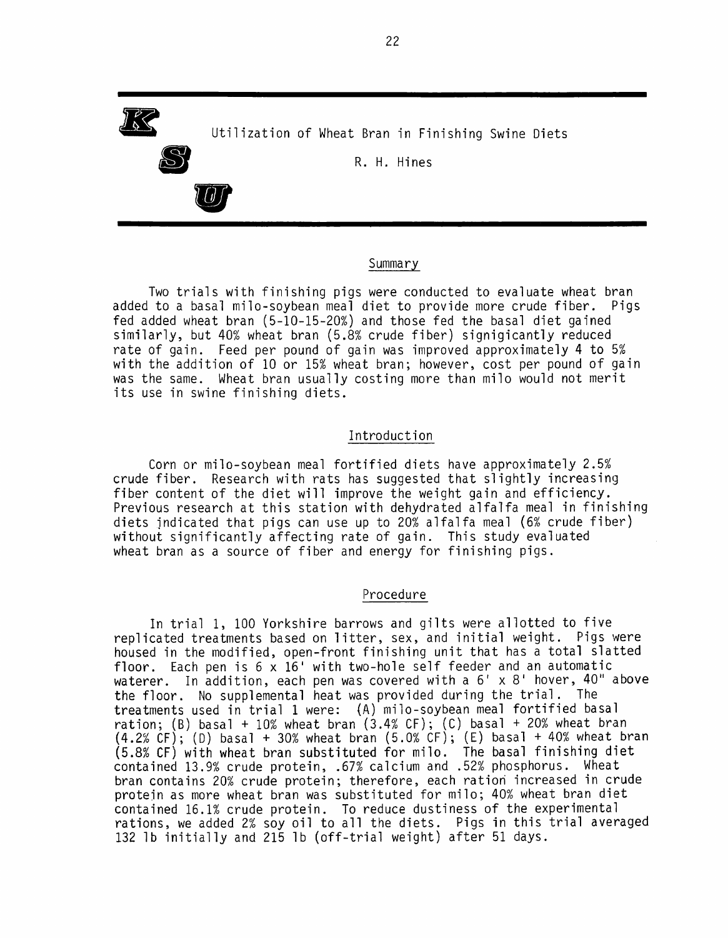

#### Summary

Two trials with finishing pigs were conducted to evaluate wheat bran added to a basal milo-soybean meal diet to provide more crude fiber. Pigs fed added wheat bran (5-10-15-20%) and those fed the basal diet gained similarly, but 40% wheat bran (5.8% crude fiber) signigicantly reduced rate of gain. Feed per pound of gain was improved approximately 4 to 5% with the addition of 10 or 15% wheat bran; however, cost per pound of gain was the same. Wheat bran usually costing more than milo would not merit its use in swine finishing diets.

#### Introduction

Corn or milo-soybean meal fortified diets have approximately 2.5% crude fiber. Research with rats has suggested that slightly increasing fiber content of the diet will improve the weight gain and efficiency. Previous research at this station with dehydrated alfalfa meal in finishing diets indicated that pigs can use up to 20% alfalfa meal (6% crude fiber) without significantly affecting rate of gain. This study evaluated wheat bran as a source of fiber and energy for finishing pigs.

#### Procedure

In trial 1, 100 Yorkshire barrows and gilts were allotted to five replicated treatments based on litter, sex, and initial weight. Pigs were housed in the modified, open-front finishing unit that has a total slatted floor. Each pen is 6 x 16' with two-hole self feeder and an automatic waterer. In addition, each pen was covered with a 6' x 8' hover, 40" above the floor. No supplemental heat was provided during the trial. The treatments used in trial 1 were: (A) milo-soybean meal fortified basal ration; (B) basal + 10% wheat bran  $(3.4% CF)$ ; (C) basal + 20% wheat bran  $(4.2% CF);$  (D) basal + 30% wheat bran  $(5.0% CF);$  (E) basal + 40% wheat bran (5.8% CF) with wheat bran substituted for milo. The basal finishing diet contained 13.9% crude protein, .67% calcium and .52% phosphorus. Wheat bran contains 20% crude protein; therefore, each ration increased in crude protein as more wheat bran was substituted for milo; 40% wheat bran diet contained 16.1% crude protein. To reduce dustiness of the experimental rations, we added 2% soy oil to all the diets. Pigs in this trial averaged 132 1b initially and 215 1b (off-trial weight) after 51 days.